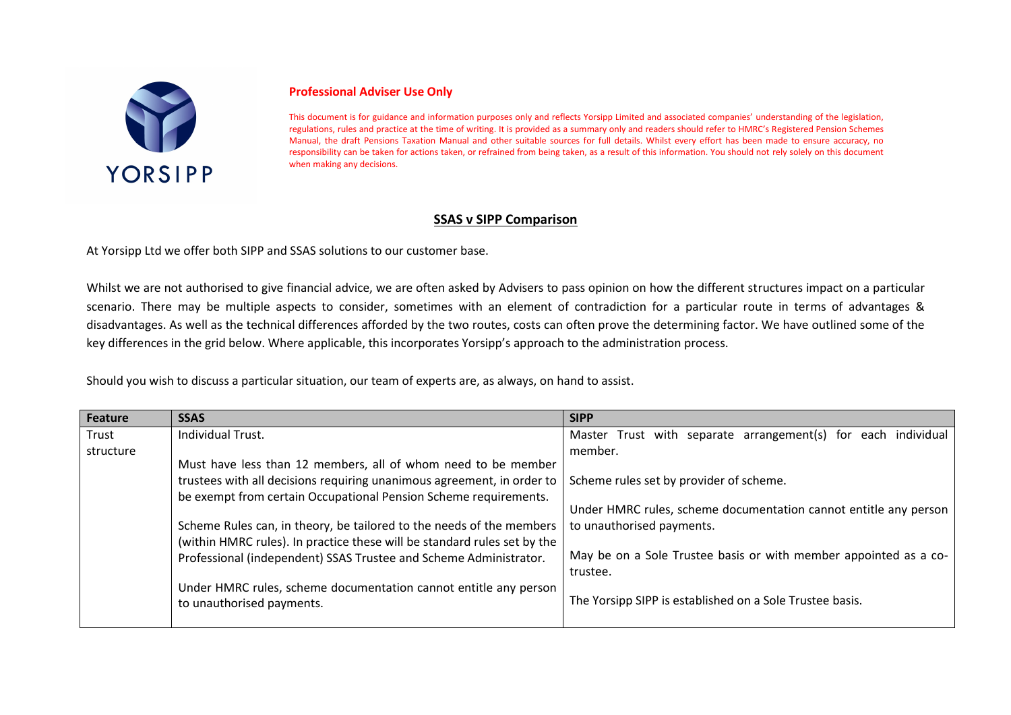

## **Professional Adviser Use Only**

This document is for guidance and information purposes only and reflects Yorsipp Limited and associated companies' understanding of the legislation, regulations, rules and practice at the time of writing. It is provided as a summary only and readers should refer to HMRC's Registered Pension Schemes Manual, the draft Pensions Taxation Manual and other suitable sources for full details. Whilst every effort has been made to ensure accuracy, no responsibility can be taken for actions taken, or refrained from being taken, as a result of this information. You should not rely solely on this document when making any decisions.

## **SSAS v SIPP Comparison**

At Yorsipp Ltd we offer both SIPP and SSAS solutions to our customer base.

Whilst we are not authorised to give financial advice, we are often asked by Advisers to pass opinion on how the different structures impact on a particular scenario. There may be multiple aspects to consider, sometimes with an element of contradiction for a particular route in terms of advantages & disadvantages. As well as the technical differences afforded by the two routes, costs can often prove the determining factor. We have outlined some of the key differences in the grid below. Where applicable, this incorporates Yorsipp's approach to the administration process.

Should you wish to discuss a particular situation, our team of experts are, as always, on hand to assist.

| <b>Feature</b> | <b>SSAS</b>                                                              | <b>SIPP</b>                                                      |
|----------------|--------------------------------------------------------------------------|------------------------------------------------------------------|
| Trust          | Individual Trust.                                                        | Master Trust with separate arrangement(s) for each individual    |
| structure      |                                                                          | member.                                                          |
|                | Must have less than 12 members, all of whom need to be member            |                                                                  |
|                | trustees with all decisions requiring unanimous agreement, in order to   | Scheme rules set by provider of scheme.                          |
|                | be exempt from certain Occupational Pension Scheme requirements.         |                                                                  |
|                |                                                                          | Under HMRC rules, scheme documentation cannot entitle any person |
|                | Scheme Rules can, in theory, be tailored to the needs of the members     | to unauthorised payments.                                        |
|                | (within HMRC rules). In practice these will be standard rules set by the |                                                                  |
|                | Professional (independent) SSAS Trustee and Scheme Administrator.        | May be on a Sole Trustee basis or with member appointed as a co- |
|                |                                                                          | trustee.                                                         |
|                | Under HMRC rules, scheme documentation cannot entitle any person         |                                                                  |
|                | to unauthorised payments.                                                | The Yorsipp SIPP is established on a Sole Trustee basis.         |
|                |                                                                          |                                                                  |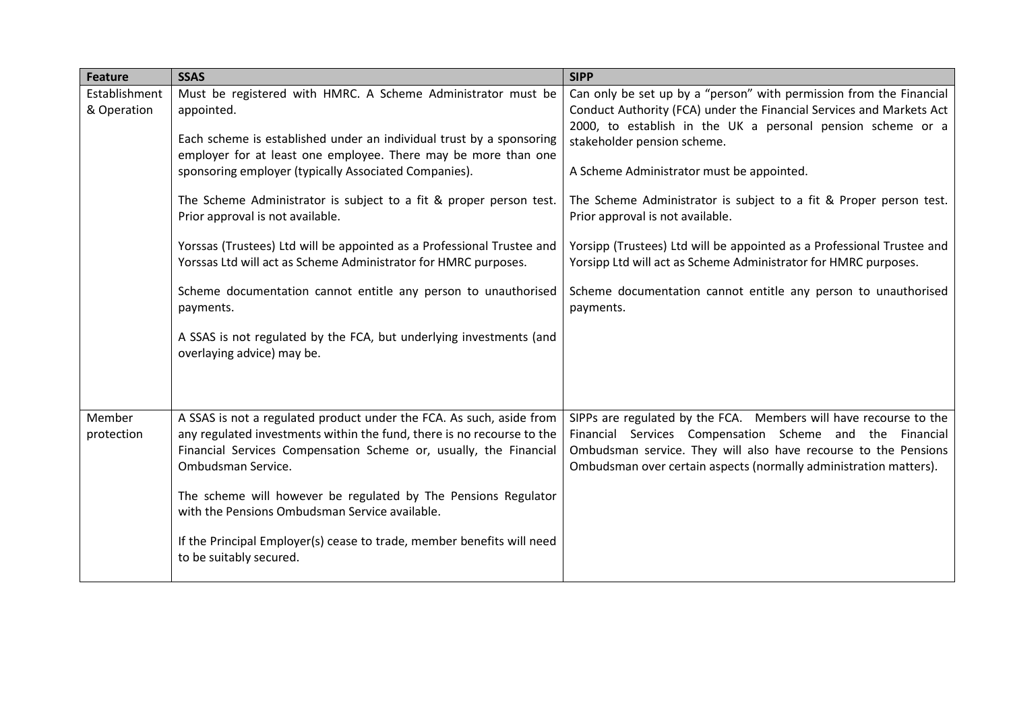| <b>Feature</b>               | <b>SSAS</b>                                                                                                                                                       | <b>SIPP</b>                                                                                                                                                                                                |
|------------------------------|-------------------------------------------------------------------------------------------------------------------------------------------------------------------|------------------------------------------------------------------------------------------------------------------------------------------------------------------------------------------------------------|
| Establishment<br>& Operation | Must be registered with HMRC. A Scheme Administrator must be<br>appointed.                                                                                        | Can only be set up by a "person" with permission from the Financial<br>Conduct Authority (FCA) under the Financial Services and Markets Act<br>2000, to establish in the UK a personal pension scheme or a |
|                              | Each scheme is established under an individual trust by a sponsoring<br>employer for at least one employee. There may be more than one                            | stakeholder pension scheme.                                                                                                                                                                                |
|                              | sponsoring employer (typically Associated Companies).                                                                                                             | A Scheme Administrator must be appointed.                                                                                                                                                                  |
|                              | The Scheme Administrator is subject to a fit & proper person test.<br>Prior approval is not available.                                                            | The Scheme Administrator is subject to a fit & Proper person test.<br>Prior approval is not available.                                                                                                     |
|                              | Yorssas (Trustees) Ltd will be appointed as a Professional Trustee and<br>Yorssas Ltd will act as Scheme Administrator for HMRC purposes.                         | Yorsipp (Trustees) Ltd will be appointed as a Professional Trustee and<br>Yorsipp Ltd will act as Scheme Administrator for HMRC purposes.                                                                  |
|                              | Scheme documentation cannot entitle any person to unauthorised<br>payments.                                                                                       | Scheme documentation cannot entitle any person to unauthorised<br>payments.                                                                                                                                |
|                              | A SSAS is not regulated by the FCA, but underlying investments (and<br>overlaying advice) may be.                                                                 |                                                                                                                                                                                                            |
| Member                       | A SSAS is not a regulated product under the FCA. As such, aside from                                                                                              | SIPPs are regulated by the FCA. Members will have recourse to the                                                                                                                                          |
| protection                   | any regulated investments within the fund, there is no recourse to the<br>Financial Services Compensation Scheme or, usually, the Financial<br>Ombudsman Service. | Financial Services Compensation Scheme and the Financial<br>Ombudsman service. They will also have recourse to the Pensions<br>Ombudsman over certain aspects (normally administration matters).           |
|                              | The scheme will however be regulated by The Pensions Regulator<br>with the Pensions Ombudsman Service available.                                                  |                                                                                                                                                                                                            |
|                              | If the Principal Employer(s) cease to trade, member benefits will need<br>to be suitably secured.                                                                 |                                                                                                                                                                                                            |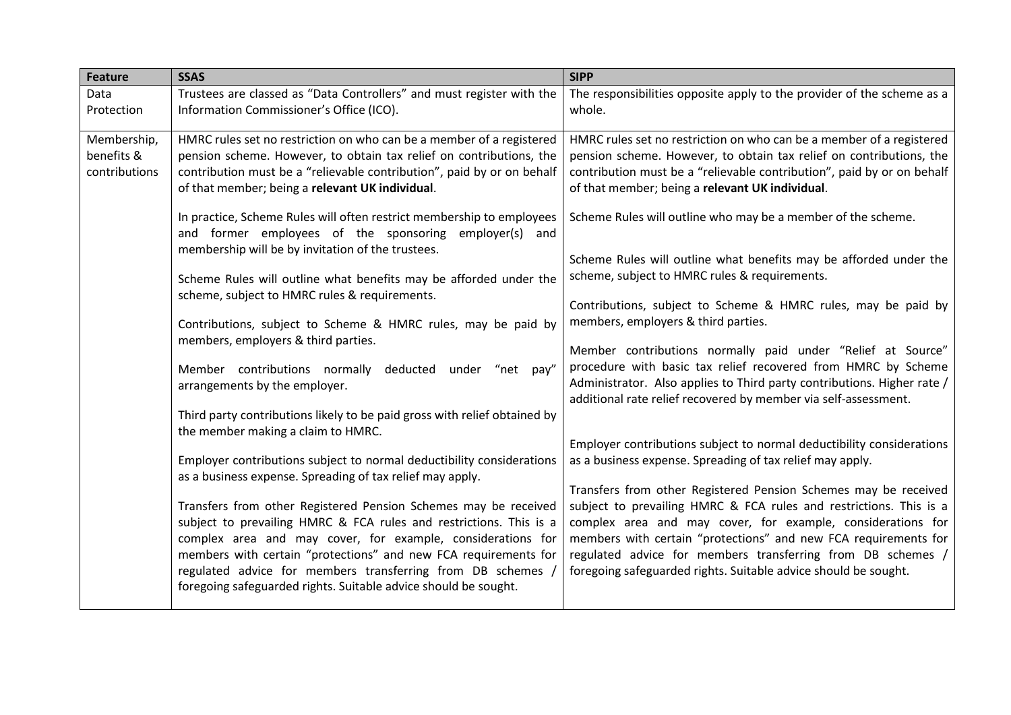| <b>Feature</b>                             | <b>SSAS</b>                                                                                                                                                                                                                                                                                                                                                                                                                                                                                                                                                                                                                                                                                                                                                                                                                                                                                                                                                                                                                                                                                                                                                                                                                                                                                                                                                                                                                                                    | <b>SIPP</b>                                                                                                                                                                                                                                                                                                                                                                                                                                                                                                                                                                                                                                                                                                                                                                                                                                                                                                                                                                                                                                                                                                                                                                                                                                                                                                                                                                                             |
|--------------------------------------------|----------------------------------------------------------------------------------------------------------------------------------------------------------------------------------------------------------------------------------------------------------------------------------------------------------------------------------------------------------------------------------------------------------------------------------------------------------------------------------------------------------------------------------------------------------------------------------------------------------------------------------------------------------------------------------------------------------------------------------------------------------------------------------------------------------------------------------------------------------------------------------------------------------------------------------------------------------------------------------------------------------------------------------------------------------------------------------------------------------------------------------------------------------------------------------------------------------------------------------------------------------------------------------------------------------------------------------------------------------------------------------------------------------------------------------------------------------------|---------------------------------------------------------------------------------------------------------------------------------------------------------------------------------------------------------------------------------------------------------------------------------------------------------------------------------------------------------------------------------------------------------------------------------------------------------------------------------------------------------------------------------------------------------------------------------------------------------------------------------------------------------------------------------------------------------------------------------------------------------------------------------------------------------------------------------------------------------------------------------------------------------------------------------------------------------------------------------------------------------------------------------------------------------------------------------------------------------------------------------------------------------------------------------------------------------------------------------------------------------------------------------------------------------------------------------------------------------------------------------------------------------|
| Data<br>Protection                         | Trustees are classed as "Data Controllers" and must register with the<br>Information Commissioner's Office (ICO).                                                                                                                                                                                                                                                                                                                                                                                                                                                                                                                                                                                                                                                                                                                                                                                                                                                                                                                                                                                                                                                                                                                                                                                                                                                                                                                                              | The responsibilities opposite apply to the provider of the scheme as a<br>whole.                                                                                                                                                                                                                                                                                                                                                                                                                                                                                                                                                                                                                                                                                                                                                                                                                                                                                                                                                                                                                                                                                                                                                                                                                                                                                                                        |
| Membership,<br>benefits &<br>contributions | HMRC rules set no restriction on who can be a member of a registered<br>pension scheme. However, to obtain tax relief on contributions, the<br>contribution must be a "relievable contribution", paid by or on behalf<br>of that member; being a relevant UK individual.<br>In practice, Scheme Rules will often restrict membership to employees<br>and former employees of the sponsoring employer(s) and<br>membership will be by invitation of the trustees.<br>Scheme Rules will outline what benefits may be afforded under the<br>scheme, subject to HMRC rules & requirements.<br>Contributions, subject to Scheme & HMRC rules, may be paid by<br>members, employers & third parties.<br>Member contributions normally deducted under "net pay"<br>arrangements by the employer.<br>Third party contributions likely to be paid gross with relief obtained by<br>the member making a claim to HMRC.<br>Employer contributions subject to normal deductibility considerations<br>as a business expense. Spreading of tax relief may apply.<br>Transfers from other Registered Pension Schemes may be received<br>subject to prevailing HMRC & FCA rules and restrictions. This is a<br>complex area and may cover, for example, considerations for<br>members with certain "protections" and new FCA requirements for<br>regulated advice for members transferring from DB schemes,<br>foregoing safeguarded rights. Suitable advice should be sought. | HMRC rules set no restriction on who can be a member of a registered<br>pension scheme. However, to obtain tax relief on contributions, the<br>contribution must be a "relievable contribution", paid by or on behalf<br>of that member; being a relevant UK individual.<br>Scheme Rules will outline who may be a member of the scheme.<br>Scheme Rules will outline what benefits may be afforded under the<br>scheme, subject to HMRC rules & requirements.<br>Contributions, subject to Scheme & HMRC rules, may be paid by<br>members, employers & third parties.<br>Member contributions normally paid under "Relief at Source"<br>procedure with basic tax relief recovered from HMRC by Scheme<br>Administrator. Also applies to Third party contributions. Higher rate /<br>additional rate relief recovered by member via self-assessment.<br>Employer contributions subject to normal deductibility considerations<br>as a business expense. Spreading of tax relief may apply.<br>Transfers from other Registered Pension Schemes may be received<br>subject to prevailing HMRC & FCA rules and restrictions. This is a<br>complex area and may cover, for example, considerations for<br>members with certain "protections" and new FCA requirements for<br>regulated advice for members transferring from DB schemes /<br>foregoing safeguarded rights. Suitable advice should be sought. |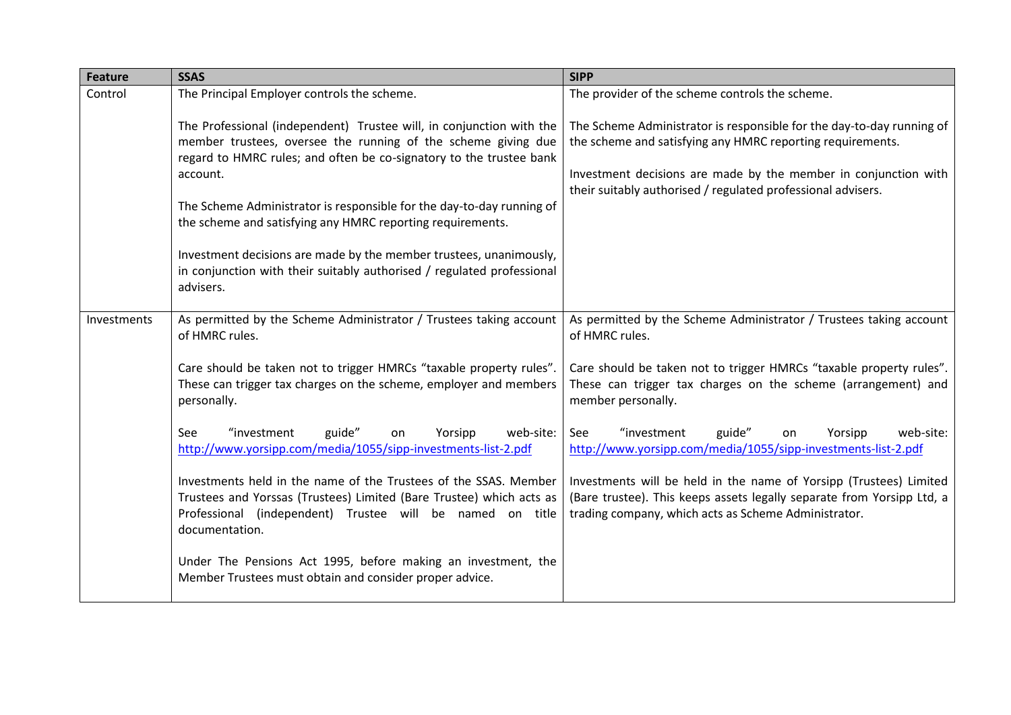| <b>Feature</b> | <b>SSAS</b>                                                                                                                                                                                                                                                                                                                                                                                                                                                                                                                  | <b>SIPP</b>                                                                                                                                                                                                                                                            |
|----------------|------------------------------------------------------------------------------------------------------------------------------------------------------------------------------------------------------------------------------------------------------------------------------------------------------------------------------------------------------------------------------------------------------------------------------------------------------------------------------------------------------------------------------|------------------------------------------------------------------------------------------------------------------------------------------------------------------------------------------------------------------------------------------------------------------------|
| Control        | The Principal Employer controls the scheme.                                                                                                                                                                                                                                                                                                                                                                                                                                                                                  | The provider of the scheme controls the scheme.                                                                                                                                                                                                                        |
|                | The Professional (independent) Trustee will, in conjunction with the<br>member trustees, oversee the running of the scheme giving due<br>regard to HMRC rules; and often be co-signatory to the trustee bank<br>account.<br>The Scheme Administrator is responsible for the day-to-day running of<br>the scheme and satisfying any HMRC reporting requirements.<br>Investment decisions are made by the member trustees, unanimously,<br>in conjunction with their suitably authorised / regulated professional<br>advisers. | The Scheme Administrator is responsible for the day-to-day running of<br>the scheme and satisfying any HMRC reporting requirements.<br>Investment decisions are made by the member in conjunction with<br>their suitably authorised / regulated professional advisers. |
| Investments    | As permitted by the Scheme Administrator / Trustees taking account<br>of HMRC rules.                                                                                                                                                                                                                                                                                                                                                                                                                                         | As permitted by the Scheme Administrator / Trustees taking account<br>of HMRC rules.                                                                                                                                                                                   |
|                | Care should be taken not to trigger HMRCs "taxable property rules".<br>These can trigger tax charges on the scheme, employer and members<br>personally.                                                                                                                                                                                                                                                                                                                                                                      | Care should be taken not to trigger HMRCs "taxable property rules".<br>These can trigger tax charges on the scheme (arrangement) and<br>member personally.                                                                                                             |
|                | "investment<br>guide"<br>See<br>Yorsipp<br>web-site:<br>on<br>http://www.yorsipp.com/media/1055/sipp-investments-list-2.pdf                                                                                                                                                                                                                                                                                                                                                                                                  | guide"<br>See<br>"investment<br>Yorsipp<br>web-site:<br>on<br>http://www.yorsipp.com/media/1055/sipp-investments-list-2.pdf                                                                                                                                            |
|                | Investments held in the name of the Trustees of the SSAS. Member<br>Trustees and Yorssas (Trustees) Limited (Bare Trustee) which acts as<br>Professional (independent) Trustee will be named on title<br>documentation.                                                                                                                                                                                                                                                                                                      | Investments will be held in the name of Yorsipp (Trustees) Limited<br>(Bare trustee). This keeps assets legally separate from Yorsipp Ltd, a<br>trading company, which acts as Scheme Administrator.                                                                   |
|                | Under The Pensions Act 1995, before making an investment, the<br>Member Trustees must obtain and consider proper advice.                                                                                                                                                                                                                                                                                                                                                                                                     |                                                                                                                                                                                                                                                                        |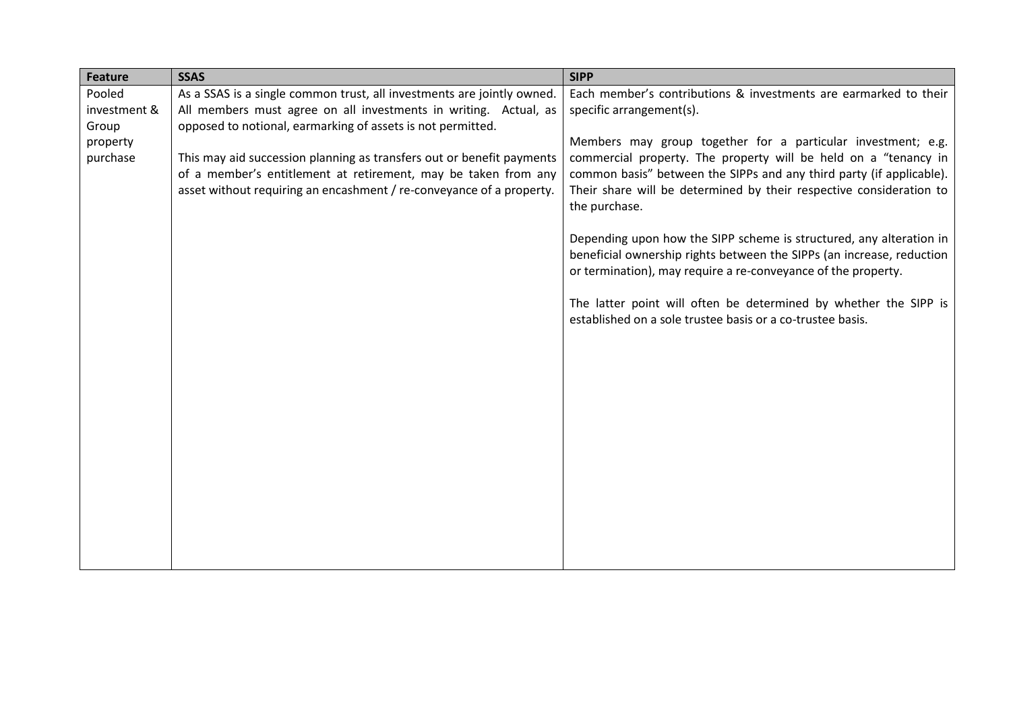| <b>Feature</b> | <b>SSAS</b>                                                            | <b>SIPP</b>                                                                                                                            |
|----------------|------------------------------------------------------------------------|----------------------------------------------------------------------------------------------------------------------------------------|
| Pooled         | As a SSAS is a single common trust, all investments are jointly owned. | Each member's contributions & investments are earmarked to their                                                                       |
| investment &   | All members must agree on all investments in writing. Actual, as       | specific arrangement(s).                                                                                                               |
| Group          | opposed to notional, earmarking of assets is not permitted.            |                                                                                                                                        |
| property       |                                                                        | Members may group together for a particular investment; e.g.                                                                           |
| purchase       | This may aid succession planning as transfers out or benefit payments  | commercial property. The property will be held on a "tenancy in                                                                        |
|                | of a member's entitlement at retirement, may be taken from any         | common basis" between the SIPPs and any third party (if applicable).                                                                   |
|                | asset without requiring an encashment / re-conveyance of a property.   | Their share will be determined by their respective consideration to<br>the purchase.                                                   |
|                |                                                                        | Depending upon how the SIPP scheme is structured, any alteration in                                                                    |
|                |                                                                        | beneficial ownership rights between the SIPPs (an increase, reduction<br>or termination), may require a re-conveyance of the property. |
|                |                                                                        | The latter point will often be determined by whether the SIPP is<br>established on a sole trustee basis or a co-trustee basis.         |
|                |                                                                        |                                                                                                                                        |
|                |                                                                        |                                                                                                                                        |
|                |                                                                        |                                                                                                                                        |
|                |                                                                        |                                                                                                                                        |
|                |                                                                        |                                                                                                                                        |
|                |                                                                        |                                                                                                                                        |
|                |                                                                        |                                                                                                                                        |
|                |                                                                        |                                                                                                                                        |
|                |                                                                        |                                                                                                                                        |
|                |                                                                        |                                                                                                                                        |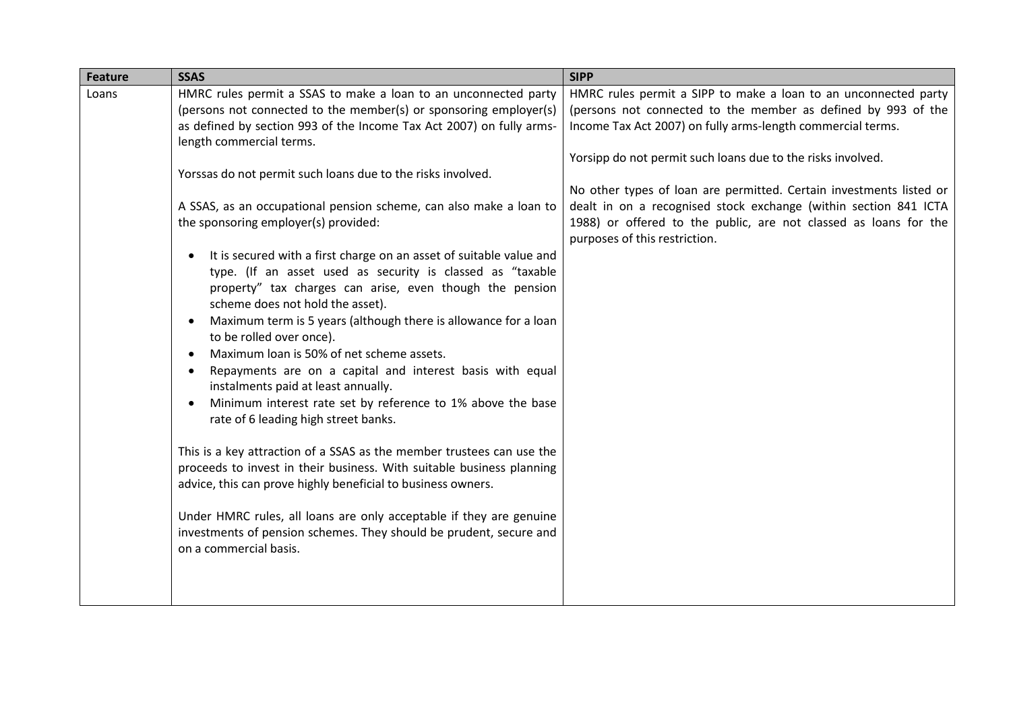| <b>SSAS</b><br><b>Feature</b>                                                                                                                                                                                                                                                                                                                                                                                                                                                                                                                                                                                                                                                                                                                                                                                                                                                                                                                                                                                                                                                                                                                                                                                                                                                                                                                                                                                                                              | <b>SIPP</b>                                                                                                                                                                                                                                                                                                                                                                                                                                                                                                    |
|------------------------------------------------------------------------------------------------------------------------------------------------------------------------------------------------------------------------------------------------------------------------------------------------------------------------------------------------------------------------------------------------------------------------------------------------------------------------------------------------------------------------------------------------------------------------------------------------------------------------------------------------------------------------------------------------------------------------------------------------------------------------------------------------------------------------------------------------------------------------------------------------------------------------------------------------------------------------------------------------------------------------------------------------------------------------------------------------------------------------------------------------------------------------------------------------------------------------------------------------------------------------------------------------------------------------------------------------------------------------------------------------------------------------------------------------------------|----------------------------------------------------------------------------------------------------------------------------------------------------------------------------------------------------------------------------------------------------------------------------------------------------------------------------------------------------------------------------------------------------------------------------------------------------------------------------------------------------------------|
| HMRC rules permit a SSAS to make a loan to an unconnected party<br>Loans<br>(persons not connected to the member(s) or sponsoring employer(s)<br>as defined by section 993 of the Income Tax Act 2007) on fully arms-<br>length commercial terms.<br>Yorssas do not permit such loans due to the risks involved.<br>A SSAS, as an occupational pension scheme, can also make a loan to<br>the sponsoring employer(s) provided:<br>It is secured with a first charge on an asset of suitable value and<br>type. (If an asset used as security is classed as "taxable<br>property" tax charges can arise, even though the pension<br>scheme does not hold the asset).<br>Maximum term is 5 years (although there is allowance for a loan<br>to be rolled over once).<br>Maximum loan is 50% of net scheme assets.<br>$\bullet$<br>Repayments are on a capital and interest basis with equal<br>$\bullet$<br>instalments paid at least annually.<br>Minimum interest rate set by reference to 1% above the base<br>$\bullet$<br>rate of 6 leading high street banks.<br>This is a key attraction of a SSAS as the member trustees can use the<br>proceeds to invest in their business. With suitable business planning<br>advice, this can prove highly beneficial to business owners.<br>Under HMRC rules, all loans are only acceptable if they are genuine<br>investments of pension schemes. They should be prudent, secure and<br>on a commercial basis. | HMRC rules permit a SIPP to make a loan to an unconnected party<br>(persons not connected to the member as defined by 993 of the<br>Income Tax Act 2007) on fully arms-length commercial terms.<br>Yorsipp do not permit such loans due to the risks involved.<br>No other types of loan are permitted. Certain investments listed or<br>dealt in on a recognised stock exchange (within section 841 ICTA<br>1988) or offered to the public, are not classed as loans for the<br>purposes of this restriction. |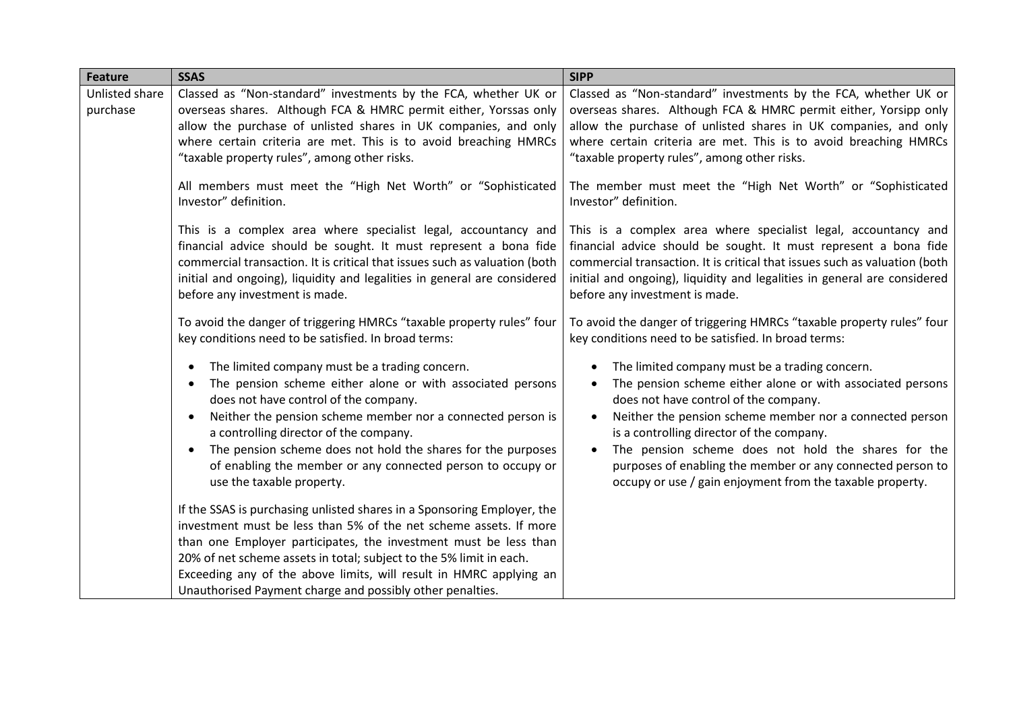| <b>Feature</b>             | <b>SSAS</b>                                                                                                                                                                                                                                                                                                                                                                                                                                                    | <b>SIPP</b>                                                                                                                                                                                                                                                                                                                                                                                                                                      |
|----------------------------|----------------------------------------------------------------------------------------------------------------------------------------------------------------------------------------------------------------------------------------------------------------------------------------------------------------------------------------------------------------------------------------------------------------------------------------------------------------|--------------------------------------------------------------------------------------------------------------------------------------------------------------------------------------------------------------------------------------------------------------------------------------------------------------------------------------------------------------------------------------------------------------------------------------------------|
| Unlisted share<br>purchase | Classed as "Non-standard" investments by the FCA, whether UK or<br>overseas shares. Although FCA & HMRC permit either, Yorssas only<br>allow the purchase of unlisted shares in UK companies, and only<br>where certain criteria are met. This is to avoid breaching HMRCs<br>"taxable property rules", among other risks.                                                                                                                                     | Classed as "Non-standard" investments by the FCA, whether UK or<br>overseas shares. Although FCA & HMRC permit either, Yorsipp only<br>allow the purchase of unlisted shares in UK companies, and only<br>where certain criteria are met. This is to avoid breaching HMRCs<br>"taxable property rules", among other risks.                                                                                                                       |
|                            | All members must meet the "High Net Worth" or "Sophisticated<br>Investor" definition.                                                                                                                                                                                                                                                                                                                                                                          | The member must meet the "High Net Worth" or "Sophisticated<br>Investor" definition.                                                                                                                                                                                                                                                                                                                                                             |
|                            | This is a complex area where specialist legal, accountancy and<br>financial advice should be sought. It must represent a bona fide<br>commercial transaction. It is critical that issues such as valuation (both<br>initial and ongoing), liquidity and legalities in general are considered<br>before any investment is made.                                                                                                                                 | This is a complex area where specialist legal, accountancy and<br>financial advice should be sought. It must represent a bona fide<br>commercial transaction. It is critical that issues such as valuation (both<br>initial and ongoing), liquidity and legalities in general are considered<br>before any investment is made.                                                                                                                   |
|                            | To avoid the danger of triggering HMRCs "taxable property rules" four<br>key conditions need to be satisfied. In broad terms:                                                                                                                                                                                                                                                                                                                                  | To avoid the danger of triggering HMRCs "taxable property rules" four<br>key conditions need to be satisfied. In broad terms:                                                                                                                                                                                                                                                                                                                    |
|                            | The limited company must be a trading concern.<br>٠<br>The pension scheme either alone or with associated persons<br>٠<br>does not have control of the company.<br>Neither the pension scheme member nor a connected person is<br>$\bullet$<br>a controlling director of the company.<br>The pension scheme does not hold the shares for the purposes<br>$\bullet$<br>of enabling the member or any connected person to occupy or<br>use the taxable property. | The limited company must be a trading concern.<br>The pension scheme either alone or with associated persons<br>does not have control of the company.<br>Neither the pension scheme member nor a connected person<br>is a controlling director of the company.<br>The pension scheme does not hold the shares for the<br>purposes of enabling the member or any connected person to<br>occupy or use / gain enjoyment from the taxable property. |
|                            | If the SSAS is purchasing unlisted shares in a Sponsoring Employer, the<br>investment must be less than 5% of the net scheme assets. If more<br>than one Employer participates, the investment must be less than<br>20% of net scheme assets in total; subject to the 5% limit in each.<br>Exceeding any of the above limits, will result in HMRC applying an<br>Unauthorised Payment charge and possibly other penalties.                                     |                                                                                                                                                                                                                                                                                                                                                                                                                                                  |